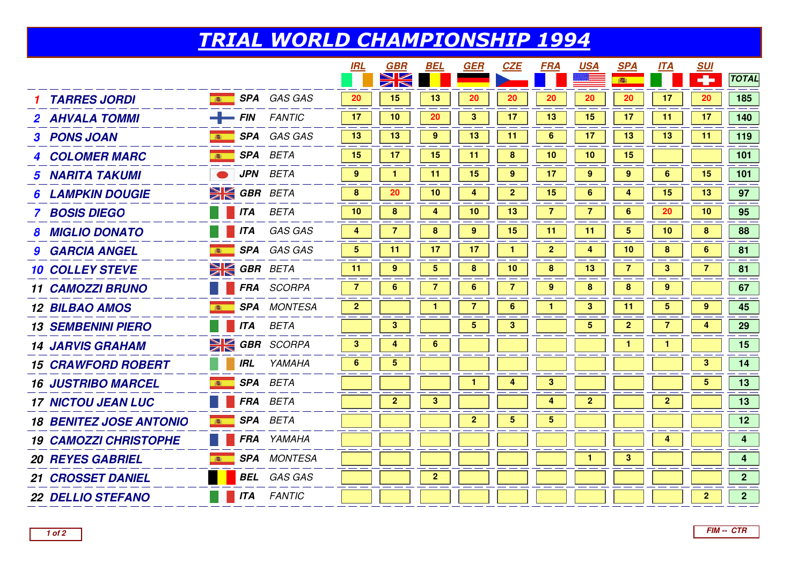## TRIAL WORLD CHAMPIONSHIP 1994

|                                |                              |                    | <b>IRL</b>      | GBR                     | BEL            | <b>GER</b>              | <b>CZE</b>              | <b>FRA</b>              | <u>USA</u>     | <b>SPA</b>      | <b>ITA</b>       | <b>SUI</b>     |                         |
|--------------------------------|------------------------------|--------------------|-----------------|-------------------------|----------------|-------------------------|-------------------------|-------------------------|----------------|-----------------|------------------|----------------|-------------------------|
|                                |                              |                    |                 |                         |                |                         |                         |                         |                | ●               |                  | ÷              | <b>TOTAL</b>            |
| <b>TARRES JORDI</b>            | 高                            | <b>SPA</b> GAS GAS | 20              | 15                      | 13             | 20                      | 20                      | 20                      | 20             | 20              | 17               | 20             | 185                     |
| 2 AHVALA TOMMI                 | $-$ FIN FANTIC               |                    | 17              | 10                      | 20             | $\mathbf{3}$            | 17                      | 13                      | 15             | 17              | 11               | 17             | 140                     |
| 3 PONS JOAN                    | <b>SPA</b> GAS GAS           |                    | 13              | 13                      | 9              | 13                      | 11                      | 6                       | 17             | 13              | 13               | 11             | 119                     |
| <b>4 COLOMER MARC</b>          | 1964年                        | <b>SPA</b> BETA    | 15              | 17                      | 15             | 11                      | $\pmb{8}$               | 10                      | 10             | 15              |                  |                | 101                     |
| <b>5 NARITA TAKUMI</b>         |                              | <b>JPN</b> BETA    | 9               | $\mathbf{1}$            | 11             | 15                      | 9                       | 17                      | 9              | 9               | 6                | 15             | 101                     |
| <b>LAMPKIN DOUGIE</b>          | <b>EX GBR BETA</b>           |                    | 8               | 20                      | 10             | $\overline{\mathbf{4}}$ | $\mathbf{2}$            | 15                      | 6              | 4               | 15               | 13             | 97                      |
| <b>BOSIS DIEGO</b>             | $\overline{\phantom{a}}$ ITA | BETA               | 10              | 8                       | 4              | 10                      | 13                      | $\overline{7}$          | 7              | $6\phantom{1}6$ | 20               | 10             | 95                      |
| <b>MIGLIO DONATO</b>           | <b>ITA</b>                   | GAS GAS            | 4               | 7                       | 8              | 9                       | 15                      | 11                      | 11             | $\overline{5}$  | 10               | 8              | 88                      |
| <b>9 GARCIA ANGEL</b>          | 高                            | SPA GAS GAS        | $5\phantom{.0}$ | 11                      | 17             | 17                      | $\mathbf{1}$            | $\overline{2}$          | 4              | 10              | 8                | 6              | 81                      |
| <b>10 COLLEY STEVE</b>         | <b>EX GBR BETA</b>           |                    | 11              | 9                       | 5              | 8                       | 10                      | 8                       | 13             |                 | 3                |                | 81                      |
| <b>11 CAMOZZI BRUNO</b>        | M.                           | <b>FRA</b> SCORPA  | $\overline{7}$  | 6                       | $\overline{7}$ | 6                       | $\overline{7}$          | 9                       | 8              | 8               | $\boldsymbol{9}$ |                | 67                      |
| <b>12 BILBAO AMOS</b>          | 高                            | <b>SPA</b> MONTESA | $\mathbf{2}$    |                         |                | 7                       | 6                       |                         | 3              | 11              | 5                | 9              | 45                      |
| <b>13 SEMBENINI PIERO</b>      | <b>ITA</b>                   | <b>BETA</b>        |                 | $\mathbf{3}$            |                | 5 <sub>5</sub>          | $\mathbf{3}$            |                         | 5              | $\mathbf{2}$    | $\overline{7}$   | 4              | 29                      |
| <b>14 JARVIS GRAHAM</b>        | <b>SK GBR</b> SCORPA         |                    | 3               | 4                       | 6              |                         |                         |                         |                |                 |                  |                | 15                      |
| <b>15 CRAWFORD ROBERT</b>      | <b>IRL</b>                   | YAMAHA             | 6               | 5                       |                |                         |                         |                         |                |                 |                  | $\mathbf{3}$   | 14                      |
| <b>16 JUSTRIBO MARCEL</b>      | (选)                          | SPA BETA           |                 |                         |                | $\mathbf{1}$            | $\overline{\mathbf{4}}$ | $\mathbf{3}$            |                |                 |                  | 5 <sup>5</sup> | $13$                    |
| <b>17 NICTOU JEAN LUC</b>      |                              | FRA BETA           |                 | $\overline{\mathbf{2}}$ | 3              |                         |                         | 4                       | $\overline{2}$ |                 | $\mathbf{2}$     |                | 13                      |
| <b>18 BENITEZ JOSE ANTONIO</b> | 高                            | SPA BETA           |                 |                         |                | $\overline{2}$          | $\overline{\mathbf{5}}$ | $\overline{\mathbf{5}}$ |                |                 |                  |                | 12                      |
| <b>19 CAMOZZI CHRISTOPHE</b>   |                              | FRA YAMAHA         |                 |                         |                |                         |                         |                         |                |                 | 4                |                | $\overline{\mathbf{4}}$ |
| <b>20 REYES GABRIEL</b>        | 高                            | <b>SPA</b> MONTESA |                 |                         |                |                         |                         |                         | $\mathbf{1}$   | $\mathbf{3}$    |                  |                | $\overline{\mathbf{4}}$ |
| <b>21 CROSSET DANIEL</b>       |                              | <b>BEL</b> GAS GAS |                 |                         | $\overline{2}$ |                         |                         |                         |                |                 |                  |                | 2 <sup>1</sup>          |
| <b>22 DELLIO STEFANO</b>       | <b>ITA</b>                   | <b>FANTIC</b>      |                 |                         |                |                         |                         |                         |                |                 |                  | $\overline{2}$ | 2 <sup>1</sup>          |
|                                |                              |                    |                 |                         |                |                         |                         |                         |                |                 |                  |                |                         |